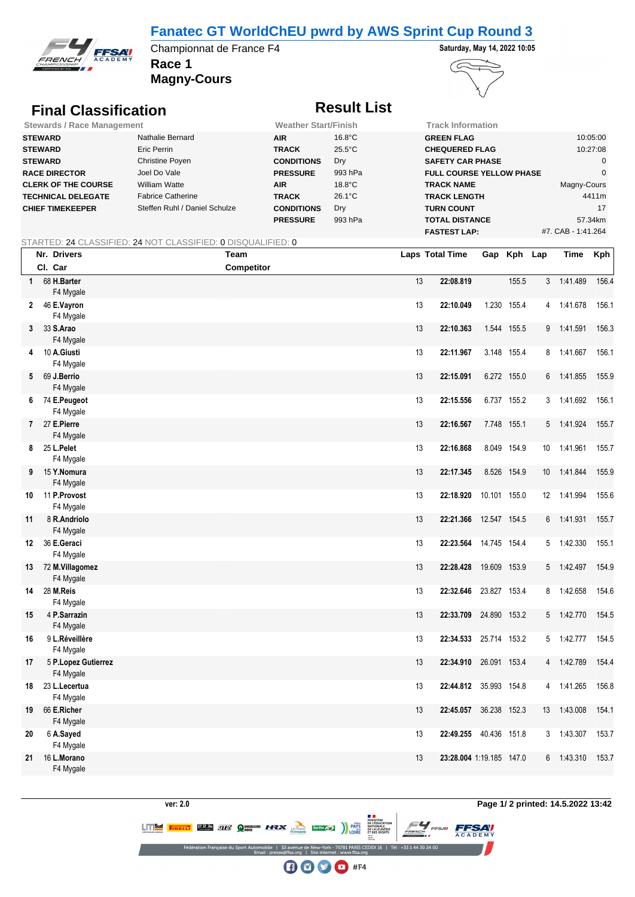## **Fanatec GT WorldChEU pwrd by AWS Sprint Cup Round 3**



**Race 1** Championnat de France F4 **Saturday, May 14, 2022 10:05** 





# **Final Classification Result List**

| <b>Stewards / Race Management</b> |                               | <b>Weather Start/Finish</b> |                  | Track Information               |                    |
|-----------------------------------|-------------------------------|-----------------------------|------------------|---------------------------------|--------------------|
| <b>STEWARD</b>                    | Nathalie Bernard              | <b>AIR</b>                  | $16.8^{\circ}$ C | <b>GREEN FLAG</b>               | 10:05:00           |
| <b>STEWARD</b>                    | Eric Perrin                   | <b>TRACK</b>                | $25.5^{\circ}$ C | <b>CHEQUERED FLAG</b>           | 10:27:08           |
| <b>STEWARD</b>                    | Christine Poyen               | <b>CONDITIONS</b>           | Dry              | <b>SAFETY CAR PHASE</b>         |                    |
| <b>RACE DIRECTOR</b>              | Joel Do Vale                  | <b>PRESSURE</b>             | 993 hPa          | <b>FULL COURSE YELLOW PHASE</b> |                    |
| <b>CLERK OF THE COURSE</b>        | William Watte                 | <b>AIR</b>                  | $18.8^{\circ}$ C | <b>TRACK NAME</b>               | Magny-Cours        |
| <b>TECHNICAL DELEGATE</b>         | <b>Fabrice Catherine</b>      | <b>TRACK</b>                | $26.1^{\circ}$ C | <b>TRACK LENGTH</b>             | 4411m              |
| <b>CHIEF TIMEKEEPER</b>           | Steffen Ruhl / Daniel Schulze | <b>CONDITIONS</b>           | Dry              | <b>TURN COUNT</b>               | 17                 |
|                                   |                               | <b>PRESSURE</b>             | 993 hPa          | <b>TOTAL DISTANCE</b>           | 57.34km            |
|                                   |                               |                             |                  | <b>FASTEST LAP:</b>             | #7. CAB - 1:41.264 |

### STARTED: 24 CLASSIFIED: 24 NOT CLASSIFIED: 0 DISQUALIFIED: 0

|              | Nr. Drivers                      | Team              |    | <b>Laps Total Time</b>   |              | Gap Kph Lap |                 | Time       | <b>Kph</b> |
|--------------|----------------------------------|-------------------|----|--------------------------|--------------|-------------|-----------------|------------|------------|
|              | Cl. Car                          | <b>Competitor</b> |    |                          |              |             |                 |            |            |
| $\mathbf{1}$ | 68 H.Barter<br>F4 Mygale         |                   | 13 | 22:08.819                |              | 155.5       |                 | 3 1:41.489 | 156.4      |
|              | 2 46 E.Vayron<br>F4 Mygale       |                   | 13 | 22:10.049                |              | 1.230 155.4 | 4               | 1:41.678   | 156.1      |
|              | 3 33 S.Arao<br>F4 Mygale         |                   | 13 | 22:10.363                |              | 1.544 155.5 | 9               | 1:41.591   | 156.3      |
| 4            | 10 A.Giusti<br>F4 Mygale         |                   | 13 | 22:11.967                |              | 3.148 155.4 |                 | 8 1:41.667 | 156.1      |
|              | 5 69 J.Berrio<br>F4 Mygale       |                   | 13 | 22:15.091                |              | 6.272 155.0 | 6               | 1:41.855   | 155.9      |
|              | 6 74 E.Peugeot<br>F4 Mygale      |                   | 13 | 22:15.556                |              | 6.737 155.2 |                 | 3 1:41.692 | 156.1      |
|              | 7 27 E.Pierre<br>F4 Mygale       |                   | 13 | 22:16.567                |              | 7.748 155.1 | 5               | 1:41.924   | 155.7      |
|              | 8 25 L.Pelet<br>F4 Mygale        |                   | 13 | 22:16.868                |              | 8.049 154.9 | 10              | 1:41.961   | 155.7      |
| 9            | 15 Y.Nomura<br>F4 Mygale         |                   | 13 | 22:17.345                |              | 8.526 154.9 | 10 <sup>°</sup> | 1:41.844   | 155.9      |
| 10           | 11 P.Provost<br>F4 Mygale        |                   | 13 | 22:18.920                | 10.101 155.0 |             | 12 <sup>°</sup> | 1:41.994   | 155.6      |
| 11           | 8 R.Andriolo<br>F4 Mygale        |                   | 13 | 22:21.366                | 12.547 154.5 |             |                 | 6 1:41.931 | 155.7      |
| 12           | 36 E.Geraci<br>F4 Mygale         |                   | 13 | 22:23.564                | 14.745 154.4 |             | 5               | 1:42.330   | 155.1      |
| 13           | 72 M.Villagomez<br>F4 Mygale     |                   | 13 | 22:28.428                | 19.609 153.9 |             | 5               | 1:42.497   | 154.9      |
| 14           | 28 M.Reis<br>F4 Mygale           |                   | 13 | 22:32.646                | 23.827 153.4 |             | 8               | 1:42.658   | 154.6      |
| 15           | 4 P.Sarrazin<br>F4 Mygale        |                   | 13 | 22:33.709                | 24.890 153.2 |             | 5               | 1:42.770   | 154.5      |
| 16           | 9 L.Réveillère<br>F4 Mygale      |                   | 13 | 22:34.533                | 25.714 153.2 |             |                 | 5 1:42.777 | 154.5      |
| 17           | 5 P.Lopez Gutierrez<br>F4 Mygale |                   | 13 | 22:34.910                | 26.091 153.4 |             | $\overline{4}$  | 1:42.789   | 154.4      |
| 18           | 23 L.Lecertua<br>F4 Mygale       |                   | 13 | 22:44.812 35.993 154.8   |              |             |                 | 4 1:41.265 | 156.8      |
| 19           | 66 E.Richer<br>F4 Mygale         |                   | 13 | 22:45.057                | 36.238 152.3 |             | 13              | 1:43.008   | 154.1      |
| 20           | 6 A.Sayed<br>F4 Mygale           |                   | 13 | 22:49.255 40.436 151.8   |              |             |                 | 3 1:43.307 | 153.7      |
| 21           | 16 L.Morano<br>F4 Mygale         |                   | 13 | 23:28.004 1:19.185 147.0 |              |             | 6               | 1:43.310   | 153.7      |

**ver: 2.0 Page 1/ 2 printed: 14.5.2022 13:42**

**FFSAV** 

LITE TRELL **BRAZE GIZI QUICALLERIE** 172X

DEX 16 | Tél: +33 1 44 30 24 0

Sarthe Care PAYS

**DE L'ÉDUCATION<br>NATIONALE,<br>DE LA JEUNESSE<br>ET DES SPORTS** 

 $\bigoplus$   $\bigoplus$   $\bigoplus$  #F4